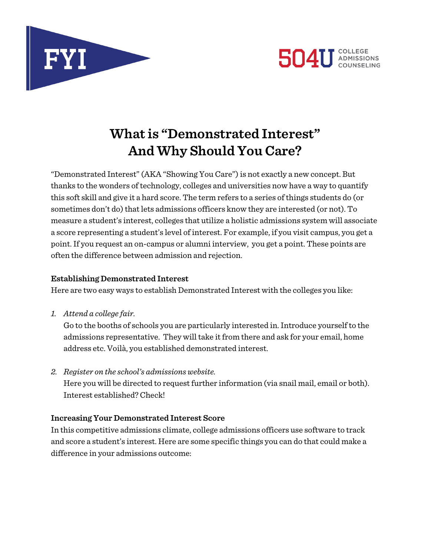



# **What is "Demonstrated Interest" And Why Should You Care?**

"Demonstrated Interest" (AKA "Showing You Care") is not exactly a new concept. But thanks to the wonders of technology, colleges and universities now have a way to quantify this soft skill and give it a hard score. The term refers to a series of things students do (or sometimes don't do) that lets admissions officers know they are interested (or not). To measure a student's interest, colleges that utilize a holistic admissions system will associate a score representing a student's level of interest. For example, if you visit campus, you get a point. If you request an on-campus or alumni interview, you get a point. These points are often the difference between admission and rejection.

#### **Establishing Demonstrated Interest**

Here are two easy ways to establish Demonstrated Interest with the colleges you like:

*1. Attend a college fair.* 

Go to the booths of schools you are particularly interested in. Introduce yourself to the admissions representative. They will take it from there and ask for your email, home address etc. Voilà, you established demonstrated interest.

*2. Register on the school's admissions website.* Here you will be directed to request further information (via snail mail, email or both). Interest established? Check!

# **Increasing Your Demonstrated Interest Score**

In this competitive admissions climate, college admissions officers use software to track and score a student's interest. Here are some specific things you can do that could make a difference in your admissions outcome: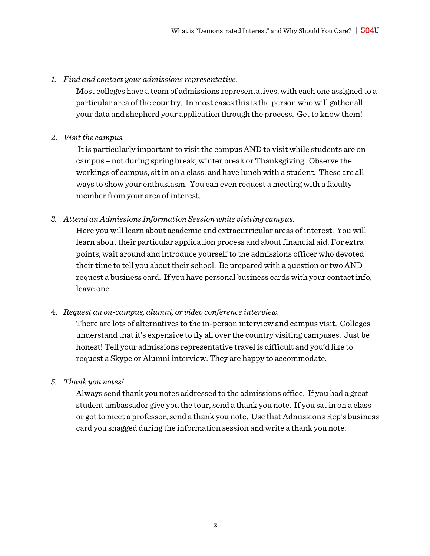#### *1. Find and contact your admissions representative.*

Most colleges have a team of admissions representatives, with each one assigned to a particular area of the country. In most cases this is the person who will gather all your data and shepherd your application through the process. Get to know them!

#### 2. *Visit the campus.*

It is particularly important to visit the campus AND to visit while students are on campus – not during spring break, winter break or Thanksgiving. Observe the workings of campus, sit in on a class, and have lunch with a student. These are all ways to show your enthusiasm. You can even request a meeting with a faculty member from your area of interest.

#### *3. Attend an Admissions Information Session while visiting campus.*

Here you will learn about academic and extracurricular areas of interest. You will learn about their particular application process and about financial aid. For extra points, wait around and introduce yourself to the admissions officer who devoted their time to tell you about their school. Be prepared with a question or two AND request a business card. If you have personal business cards with your contact info, leave one.

#### 4. *Request an on-campus, alumni, or video conference interview.*

There are lots of alternatives to the in-person interview and campus visit. Colleges understand that it's expensive to fly all over the country visiting campuses. Just be honest! Tell your admissions representative travel is difficult and you'd like to request a Skype or Alumni interview. They are happy to accommodate.

#### *5. Thank you notes!*

Always send thank you notes addressed to the admissions office. If you had a great student ambassador give you the tour, send a thank you note. If you sat in on a class or got to meet a professor, send a thank you note. Use that Admissions Rep's business card you snagged during the information session and write a thank you note.